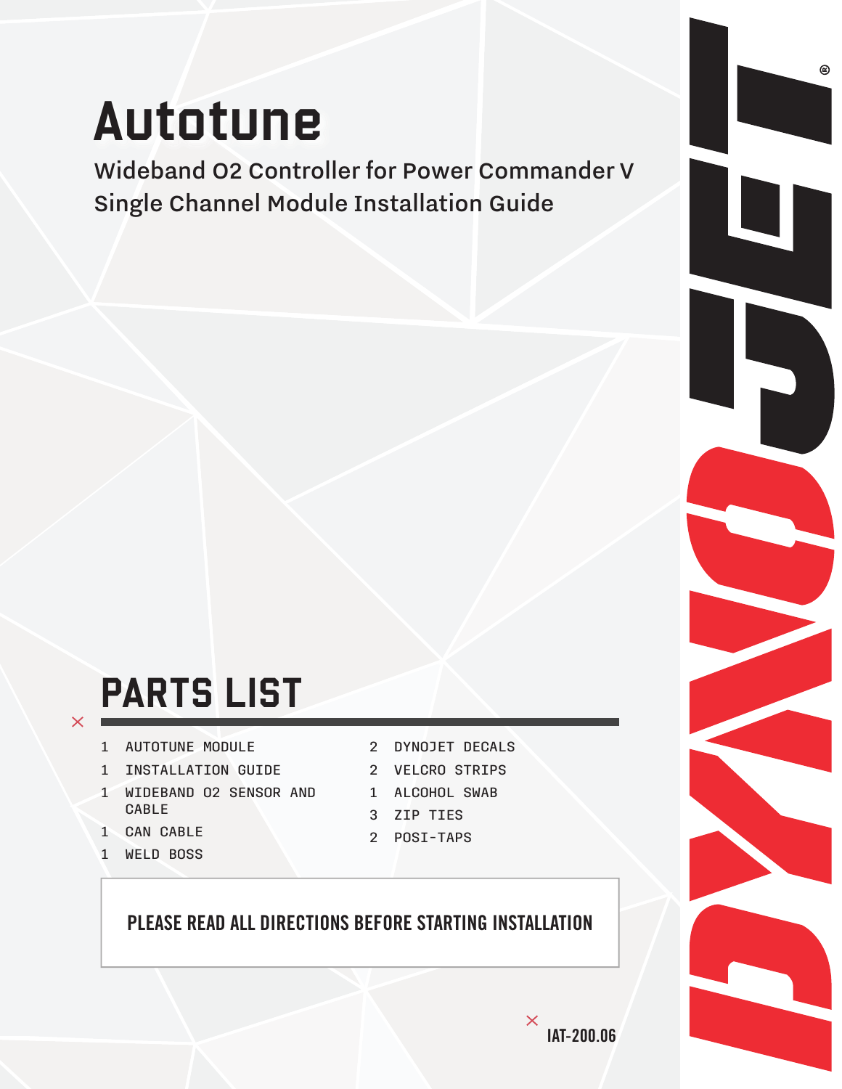# Autotune

Wideband O2 Controller for Power Commander V Single Channel Module Installation Guide

## PARTS LIST

- 1 AUTOTUNE MODULE
- 1 INSTALLATION GUIDE
- 1 WIDEBAND O2 SENSOR AND CABLE
- 1 CAN CABLE

 $\times$ 

1 WELD BOSS

- 2 DYNOJET DECALS
- 2 VELCRO STRIPS
- 1 ALCOHOL SWAB
- 3 ZIP TIES
- 2 POSI-TAPS

#### PLEASE READ ALL DIRECTIONS BEFORE STARTING INSTALLATION

 $^\copyright$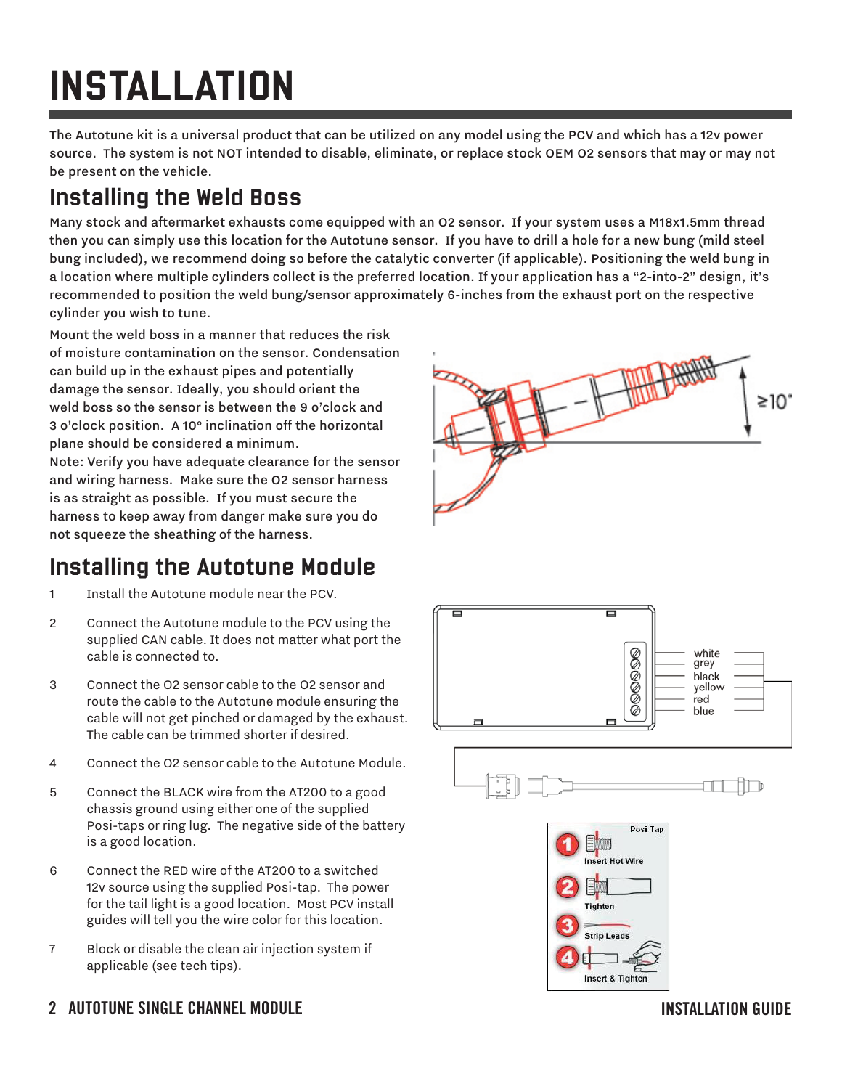## INSTALLATION

The Autotune kit is a universal product that can be utilized on any model using the PCV and which has a 12v power source. The system is not NOT intended to disable, eliminate, or replace stock OEM O2 sensors that may or may not be present on the vehicle.

## Installing the Weld Boss

Many stock and aftermarket exhausts come equipped with an O2 sensor. If your system uses a M18x1.5mm thread then you can simply use this location for the Autotune sensor. If you have to drill a hole for a new bung (mild steel bung included), we recommend doing so before the catalytic converter (if applicable). Positioning the weld bung in a location where multiple cylinders collect is the preferred location. If your application has a "2-into-2" design, it's recommended to position the weld bung/sensor approximately 6-inches from the exhaust port on the respective cylinder you wish to tune.

Mount the weld boss in a manner that reduces the risk of moisture contamination on the sensor. Condensation can build up in the exhaust pipes and potentially damage the sensor. Ideally, you should orient the weld boss so the sensor is between the 9 o'clock and 3 o'clock position. A 10° inclination off the horizontal plane should be considered a minimum.

Note: Verify you have adequate clearance for the sensor and wiring harness. Make sure the O2 sensor harness is as straight as possible. If you must secure the harness to keep away from danger make sure you do not squeeze the sheathing of the harness.

### Installing the Autotune Module

- 1 Install the Autotune module near the PCV.
- 2 Connect the Autotune module to the PCV using the supplied CAN cable. It does not matter what port the cable is connected to.
- 3 Connect the O2 sensor cable to the O2 sensor and route the cable to the Autotune module ensuring the cable will not get pinched or damaged by the exhaust. The cable can be trimmed shorter if desired.
- 4 Connect the O2 sensor cable to the Autotune Module.
- 5 Connect the BLACK wire from the AT200 to a good chassis ground using either one of the supplied Posi-taps or ring lug. The negative side of the battery is a good location.
- 6 Connect the RED wire of the AT200 to a switched 12v source using the supplied Posi-tap. The power for the tail light is a good location. Most PCV install guides will tell you the wire color for this location.
- 7 Block or disable the clean air injection system if applicable (see tech tips).





#### 2 AUTOTUNE SINGLE CHANNEL MODULE **Installation Guide (2)**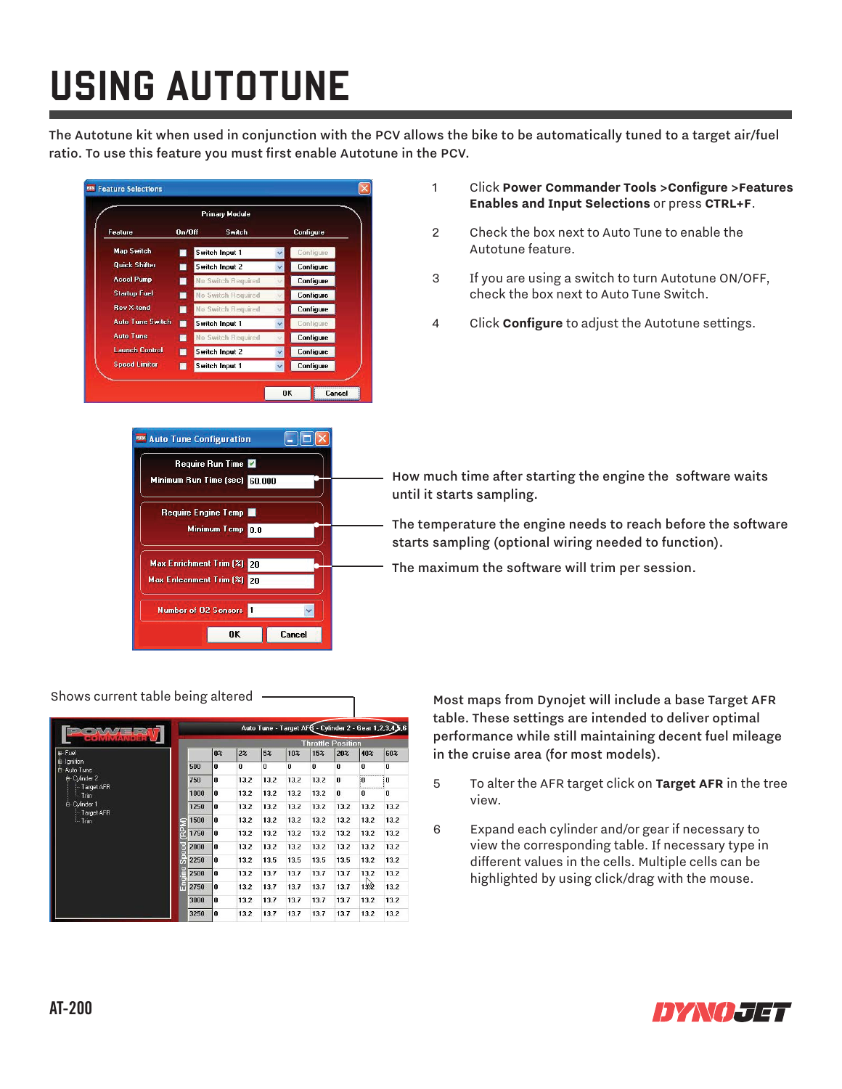## USING AUTOTUNE

The Autotune kit when used in conjunction with the PCV allows the bike to be automatically tuned to a target air/fuel ratio. To use this feature you must first enable Autotune in the PCV.





- 1 Click **Power Commander Tools >Configure >Features Enables and Input Selections** or press **CTRL+F**.
- 2 Check the box next to Auto Tune to enable the Autotune feature.
- 3 If you are using a switch to turn Autotune ON/OFF, check the box next to Auto Tune Switch.
- 4 Click **Configure** to adjust the Autotune settings.

How much time after starting the engine the software waits until it starts sampling.

The temperature the engine needs to reach before the software starts sampling (optional wiring needed to function).

The maximum the software will trim per session.

|                                                                                                                  |                            | Auto Tune - Target AFG - Cylinder 2 - Gear 1,2,3,4,3,6 |                |          |          |          |              |      |      |      |
|------------------------------------------------------------------------------------------------------------------|----------------------------|--------------------------------------------------------|----------------|----------|----------|----------|--------------|------|------|------|
|                                                                                                                  |                            | <b>Throttle Position</b>                               |                |          |          |          |              |      |      |      |
| Fuel                                                                                                             |                            |                                                        | 0 <sup>2</sup> | 2%       | 5%       | 10%      | 15%          | 20%  | 40%  | 60%  |
| Ignition<br>Auto Tune<br>₿<br>E-Cylinder 2<br>Target AFR<br>$\ln$ Trim<br>E-Cylinder 1<br>Target AFR<br>$-$ Trim |                            | 500                                                    | $\mathbf{0}$   | $\bf{0}$ | $\bf{0}$ | $\bf{0}$ | $\mathbf{u}$ | 0    | 0    | 0    |
|                                                                                                                  |                            | 750                                                    | $\mathbf{0}$   | 13.2     | 13.2     | 13.2     | 13.2         | 0    | O    | 0    |
|                                                                                                                  |                            | 1000                                                   | 0              | 13.2     | 13.2     | 13.2     | 13.2         | 0    | n    | 0    |
|                                                                                                                  | $rac{0}{\alpha}$<br>Ē<br>Ğ | 1250                                                   | $\mathbf{0}$   | 13.2     | 13.2     | 13.2     | 13.2         | 13.2 | 13.2 | 13.2 |
|                                                                                                                  |                            | 1500                                                   | $\mathbf{0}$   | 13.2     | 13.2     | 13.2     | 13.2         | 13.2 | 13.2 | 13.2 |
|                                                                                                                  |                            | 1750                                                   | $\mathbf{0}$   | 13.2     | 13.2     | 13.2     | 13.2         | 13.2 | 13.2 | 13.2 |
|                                                                                                                  |                            | 2000                                                   | $\mathbf{u}$   | 13.2     | 13.2     | 13.2     | 13.2         | 13.2 | 13.2 | 13.2 |
|                                                                                                                  |                            | 2250                                                   | $\mathbf{u}$   | 13.2     | 13.5     | 13.5     | 13.5         | 13.5 | 13.2 | 13.2 |
|                                                                                                                  | п<br>ŧ                     | 2500                                                   | $\mathbf{0}$   | 13.2     | 13.7     | 13.7     | 13.7         | 13.7 | 13.2 | 13.2 |
|                                                                                                                  | F                          | 2750                                                   | $\mathbf 0$    | 13.2     | 13.7     | 13.7     | 13.7         | 13.7 | 132  | 13.2 |
|                                                                                                                  |                            | 3000                                                   | $\mathbf{0}$   | 13.2     | 13.7     | 13.7     | 13.7         | 13.7 | 13.2 | 13.2 |
|                                                                                                                  |                            | 3250                                                   | $\mathbf{0}$   | 13.2     | 13.7     | 13.7     | 13.7         | 13.7 | 13.2 | 13.2 |

Shows current table being altered  $\overline{\phantom{A}}$  Most maps from Dynojet will include a base Target AFR table. These settings are intended to deliver optimal performance while still maintaining decent fuel mileage in the cruise area (for most models).

- 5 To alter the AFR target click on **Target AFR** in the tree view.
- 6 Expand each cylinder and/or gear if necessary to view the corresponding table. If necessary type in different values in the cells. Multiple cells can be highlighted by using click/drag with the mouse.

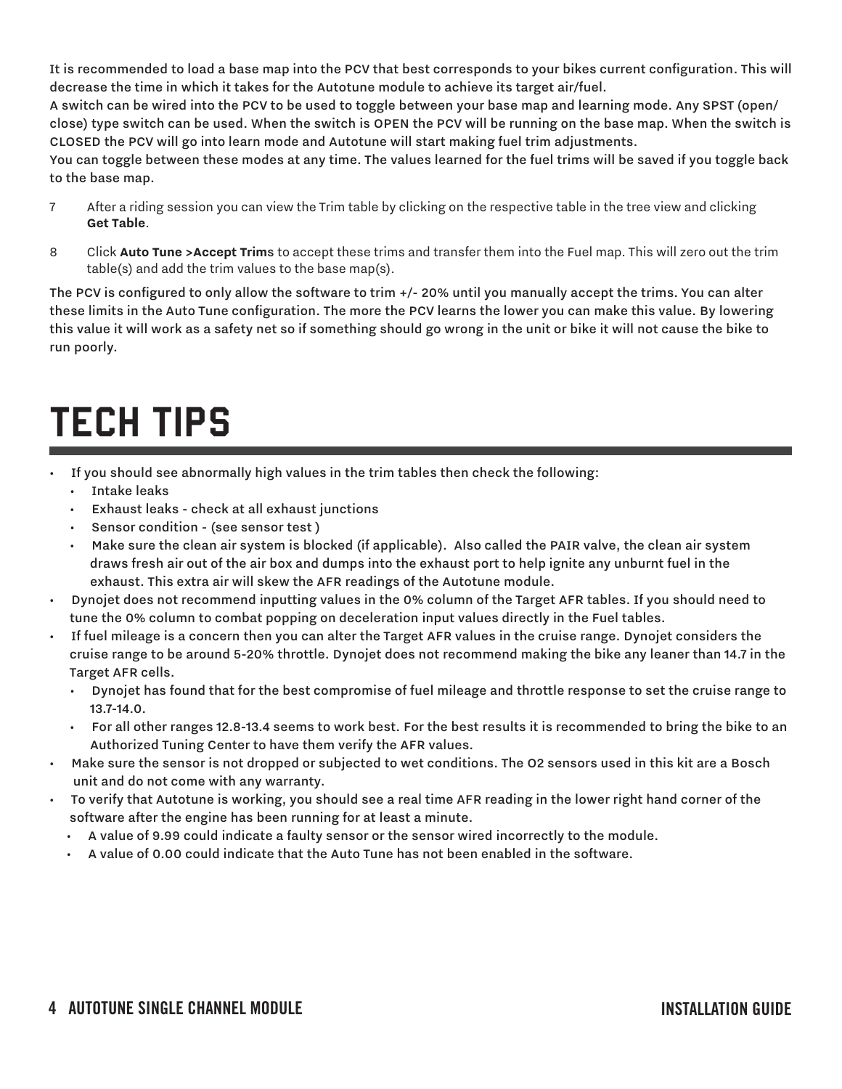It is recommended to load a base map into the PCV that best corresponds to your bikes current configuration. This will decrease the time in which it takes for the Autotune module to achieve its target air/fuel.

A switch can be wired into the PCV to be used to toggle between your base map and learning mode. Any SPST (open/ close) type switch can be used. When the switch is OPEN the PCV will be running on the base map. When the switch is CLOSED the PCV will go into learn mode and Autotune will start making fuel trim adjustments.

You can toggle between these modes at any time. The values learned for the fuel trims will be saved if you toggle back to the base map.

- 7 After a riding session you can view the Trim table by clicking on the respective table in the tree view and clicking **Get Table**.
- 8 Click **Auto Tune >Accept Trim**s to accept these trims and transfer them into the Fuel map. This will zero out the trim table(s) and add the trim values to the base map(s).

The PCV is configured to only allow the software to trim  $+/-$  20% until you manually accept the trims. You can alter these limits in the Auto Tune configuration. The more the PCV learns the lower you can make this value. By lowering this value it will work as a safety net so if something should go wrong in the unit or bike it will not cause the bike to run poorly.

## TECH TIPS

- If you should see abnormally high values in the trim tables then check the following:
	- Intake leaks
	- Exhaust leaks check at all exhaust junctions
	- Sensor condition (see sensor test )
	- Make sure the clean air system is blocked (if applicable). Also called the PAIR valve, the clean air system draws fresh air out of the air box and dumps into the exhaust port to help ignite any unburnt fuel in the exhaust. This extra air will skew the AFR readings of the Autotune module.
- Dynojet does not recommend inputting values in the 0% column of the Target AFR tables. If you should need to tune the 0% column to combat popping on deceleration input values directly in the Fuel tables.
- If fuel mileage is a concern then you can alter the Target AFR values in the cruise range. Dynojet considers the cruise range to be around 5-20% throttle. Dynojet does not recommend making the bike any leaner than 14.7 in the Target AFR cells.
	- Dynojet has found that for the best compromise of fuel mileage and throttle response to set the cruise range to 13.7-14.0.
	- For all other ranges 12.8-13.4 seems to work best. For the best results it is recommended to bring the bike to an Authorized Tuning Center to have them verify the AFR values.
- Make sure the sensor is not dropped or subjected to wet conditions. The O2 sensors used in this kit are a Bosch unit and do not come with any warranty.
- To verify that Autotune is working, you should see a real time AFR reading in the lower right hand corner of the software after the engine has been running for at least a minute.
	- A value of 9.99 could indicate a faulty sensor or the sensor wired incorrectly to the module.
	- A value of 0.00 could indicate that the Auto Tune has not been enabled in the software.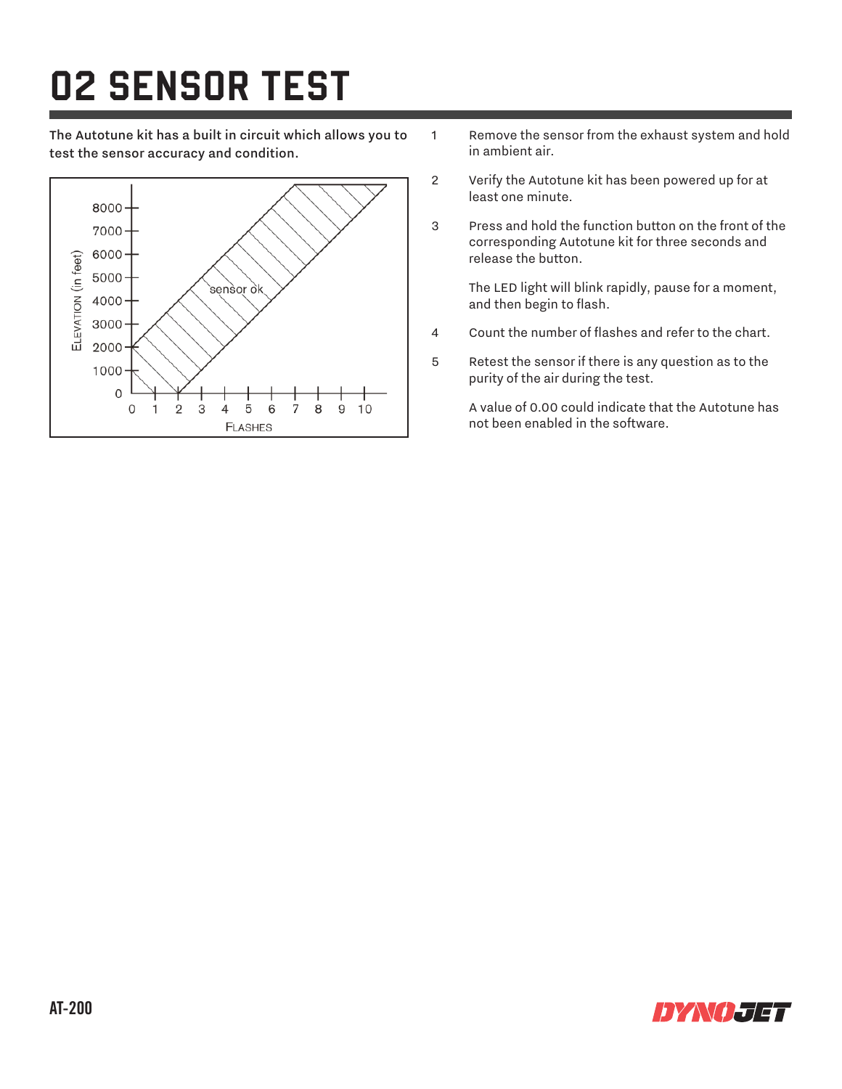## O2 SENSOR TEST

The Autotune kit has a built in circuit which allows you to test the sensor accuracy and condition.



- 1 Remove the sensor from the exhaust system and hold in ambient air.
- 2 Verify the Autotune kit has been powered up for at least one minute.
- 3 Press and hold the function button on the front of the corresponding Autotune kit for three seconds and release the button.

 The LED light will blink rapidly, pause for a moment, and then begin to flash.

- 4 Count the number of flashes and refer to the chart.
- 5 Retest the sensor if there is any question as to the purity of the air during the test.

 A value of 0.00 could indicate that the Autotune has not been enabled in the software.